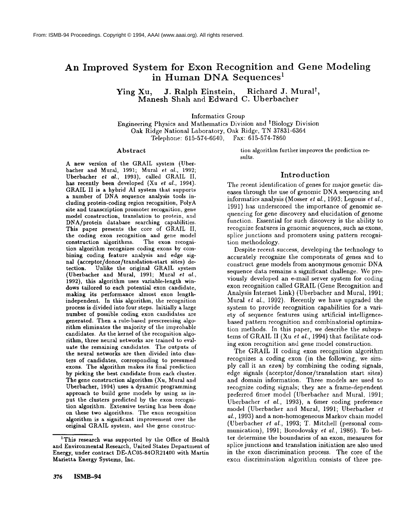# **An Improved System for Exon Recognition and Gene Modeling in 1 Human DNA Sequences**

Ying Xu, J. Ralph Einstein, Richard J. Mural<sup>†</sup>, Manesh Shah and Edward C. Uberbacher

Informatics Group

Engineering Physics and Mathematics Division and <sup>†</sup>Biology Division Oak Ridge National Laboratory, Oak Ridge, TN 37831-6364 Telephone: 615-574-6640, **Fax: 615-574-7860**

#### Abstract

A new version of the GRAIL system (Uberbacher and Mural, 1991; Mural et *al.,* 1992; Uberbacher *et al.,* 1993), called GRAIL II, has recently been developed (Xu *et al.,* 1994). GRAIL II is a hybrid AI system that supports a number of DNA sequence analysis tools including protein-coding region recognition, PolyA site and transcription promoter recognition, gene model construction, translation to protein, and DNA/protein database searching capabilities. This paper presents the core of GRAIL II, the coding exon recognition and gene model construction algorithms. The exon recognition algorithm recognizes coding exons by combining coding feature analysis and edge signal (acceptor/donor/translation-start sites) de-Unlike the original GRAIL system (Uberbacher and Mural, 1991; Mural *et al.,* 1992), this algorithm uses variable-length windows tailored to each potential exon candidate, making its performance almost exon lengthindependent. In this algorithm, the recognition process is divided into four steps. Initially a large number of possible coding exon candidates are generated. Then a rule-based prescreening algorithm eliminates the majority of the improbable candidates. As the kernel of the recognition algorithm, three neural networks are trained to evaluate the remaining candidates. The outputs of the neural networks are then divided into clusters of candidates, corresponding to presumed exons. The algorithm makes its final prediction by picking the best candidate from each cluster. The gene construction algorithm (Xu, Mural and Uberbacher, 1994) uses a dynamic programming approach to build gene models by using as input the clusters predicted by the exon recognition algorithm. Extensive testing has been done on these two algorithms. The exou recognition algorithm is a significant improvement over the original GRAIL system, and the gene construetion algorithm further improves the prediction results.

### Introduction

The recent identification of genes for major genetic diseases through the use of genomic DNA sequencing and informatics analysis (Mosser *et al.,* 1993; Legouis *et al.,* 1991) has underscored the importance of genomic sequencing for gene discovery and elucidation of gcnome fimction. Essential for such discovery is the ability to recognize features in genomic sequences, such as exons, splice junctions and promoters using pattern recognition methodology.

Despite recent success, developing the technology to accurately recognize the components of genes and to construct gene models from anonymous genomic DNA sequence data remains a significant challenge. We previously developed an e-mail server system for coding exon recognition called GRAIL (Gene Recognition and Analysis Internet Link) (Uberbacher and Mural, 1991; Mural *et al.,* 1992). Recently we have upgraded the system to provide recognition capabilities for a variety of sequence features using artificial intelligencebased pattern recognition and combinatorial optimization methods. In this paper, we describe the subsystems of GRAIL II (Xu et *al.,* 1994) that facilitate coding exon recognition and gene model construction.

The GRAIL II coding exon recognition algorithm recognizes a coding exon (in the following, we simply call it an *ezon)* by combining the coding signals, edge signals (acceptor/donor/translation start sites) and domain information. Three models are used to recognize coding signals; they are a frame-dependent preferred 6met model ((lberbacher and Mural, 1991; Uberbacher *et al.,* 1993), a 6mer coding preference model (Uberbacher and Mural, 1991; Uberbacher *et al.,* 1993) and a non-homogeneous Markov chain model (Uberbacher et *al.,* 1993; T. Mitchell (personal communication), 1991; Borodovsky e¢ *al.,* 1986). To better determine the boundaries of an exon, measures for splice junctions and translation initiation are also used in the exon discrimination process. The core of the exon discrimination algorithm consists of three pre-

<sup>&</sup>lt;sup>1</sup>This research was supported by the Office of Health and Environmental Research, United States Department of Energy, under contract DE-AC05-84OR21400 with Martin Marietta Energy Systems, Inc.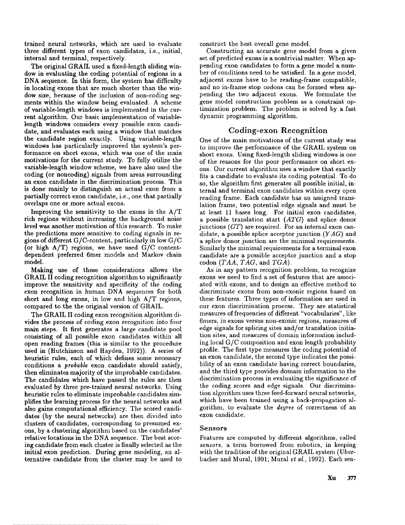trained neural networks, which are used to evaluate three different types of exon candidates, i.e., initial, internal and terminal, respectively.

The original GRAIL used a fixed-length sliding window in evaluating the coding potential of regions in a DNA sequence. In this form, the system has difficulty in locating exons that are much shorter than the window size, because of the inclusion of non-coding segments within the window being evaluated. A scheme of variable-length windows is implemented in the current algorithm. Our basic implementation of variablelength windows considers every possible exon candidate, and evaluates each using a window that matches the candidate region exactly. Using variable-length windows has particularly improved the system's performance on short exons, which was one of the main motivations for the current study. To fully utilize the variable-length window scheme, we have also used the coding (or noncoding) signals from areas surrounding aa exon candidate in the discrimination process. This is done mainly to distinguish an actual exon from a partially correct exon candidate, i.e., one that partially overlaps one or more actual exons.

Improving the sensitivity to the exons in the  $A/T$ rich regions without increasing the background noise level was another motivation of this research. To make the predictions more sensitive to coding signals in regions of different G/C-content, particularly in low G/C (or high A/T) regions, we have used G/C contentdependent preferred 6mer models and Markov chain model.

Making use of these considerations allows the GRAIL I1 coding recognition algorithm to significantly improve the sensitivity and specificity of the coding exon recognition in human DNA sequences for both short and long exons, in low and high A/T regions, compared to the the original version of GRAIL.

The GRAIL II coding exon recognition algorithm divides the process of coding exon recognition into four main steps. It first generates a large candidate pool consisting of all possible exon candidates within all open reading frames (this is similar to the procedure used in (Hutchinson and Hayden, 1992)). A series of heuristic rules, each of which defines some necessary conditions a *probable* exon candidate should satisfy, then eliminates majority of the improbable candidates. The candidates which have passed the rules are then evaluated by three pre-trained neural networks. Using heuristic rules to eliminate improbable candidates simplifies the learning process for the neural networks and also gains computational efficiency. The scored candidates (by the neural networks) are then divided into clusters of candidates, corresponding to presumed exons, by a clustering algorithm based on the candidates' relative locations in the DNA sequence. The best scoring candidate from each cluster is finally selected as the initial exon prediction. During gene modeling, an alternative candidate from the cluster may be used to construct the best overall gene model.

Constructing an accurate gene model from a given set of predicted exons is a nontrivial matter. When appending exon candidates to form a gene model a number of conditions need to be satisfied. In a gene model, adjacent exons have to be reading-frame compatible, and no in-frame stop codons can be formed when appending the two adjacent exons. We formulate the gene model construction problem as a constraint optimization problem. The problem is solved by a fast dynamic programming algorithm.

### Coding-exon Recognition

One of the main motivations of the current study was to improve the performance of the GRAIL system on short exons. Using fixed-length sliding windows is one of the reasons for the poor performance on short exons. Our current algorithm uses a window that exactly fits a candidate to evaluate its coding potential. To do so, the algorithm first generates all possible initial, internal and terminal exon candidates within every open reading frame. Each candidate has an assigned translation frame, two potential edge signals and must be at least 11 bases long. For initial exon candidates, a possible translation start *(ATG)* and splice donor junctions *(GT)* are required. For an internal exon candidate, a possible splice acceptor junction *(YAG)* and a splice donor junction are the minimal requirements. Similarly the minimal requirements for a terminal exon candidate are a possible acceptor junction and a stop codon *(TAA, TAG,* and *TGA).*

As in any pattern recognition problem, to recognize exons we need to find a set of features that are associated with exons, and to design an effective method to discriminate exons from non-exonic regions based on these features. Three types of information are used in our exon discrimination process. They are statistical measures of frequencies of different "vocabularies", like 6mers, in exons versus non-exonic regions, measures of edge signals for splicing sites and/or translation initiation sites, and measures of domain information including local G/C composition and exon length probability profile. The first type measures the coding potential of an exon candidate, the second type indicates the possibility of an exon candidate having correct boundaries, and the third type provides domain information to the discrimination process in evaluating the significance of the coding scores and edge signals. Our discrimination algorithm uses three feed-forward neural networks, which have been trained using a back-propagation algorithm, to evaluate the *degree* of correctness of an exon candidate.

#### Sensors

Features are computed by different algorithms, called *sensors,* a term borrowed from robotics, in keeping with the tradition of the original GRAIL system (Uberbacher and Mural, 1991; Mural *et al.,* 1992). Each sen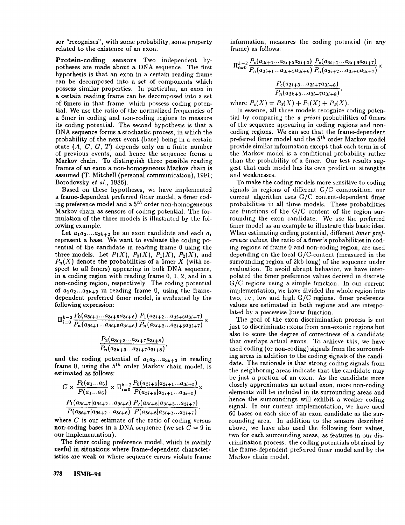sor "recognizes", with some probability, some property related to the existence of an exon.

Protein-coding sensors Two independent hypotheses are made about a DNA sequence. The first hypothesis is that an exon in a certain reading frame can be decomposed into a set of components which possess similar properties. In particular, an exon in a certain reading frame can be decomposed into a set of 6 mers in that frame, which possess coding potential. We use the ratio of the normalized frequencies of a 6met in coding and non-coding regions to measure its coding potential. The second hypothesis is that a DNA sequence forms a stochastic process, in which the probability of the next event (base) being in a certain state  $(A, C, G, T)$  depends only on a finite number of previous events, and hence the sequence forms a Markov chain. To distinguish three possible reading frames of an exon a non-homogeneous Markov chain is assumed (T. Mitchell (personal communication), 1991; Borodovsky *et al.,* 1986).

Based on these hypotheses, we have implemented a frame-dependent preferred 6mer model, a 6mer cod- $\frac{1}{2}$  ing preference model and a  $5^{th}$  order non-homogeneous Markov chain as sensors of coding potential. The formulation of the three models is illustrated by the following example.

Let  $a_1a_2...a_{3k+2}$  be an exon candidate and each  $a_i$ represent a base. We want to evaluate the coding potential of the candidate in reading frame 0 using the three models. Let  $P(X)$ ,  $P_0(X)$ ,  $P_1(X)$ ,  $P_2(X)$ , and  $P_n(X)$  denote the probabilities of a 6mer X (with respect to all 6mers) appearing in bulk DNA sequence, in a coding region with reading frame 0, 1, 2, and in a non-coding region, respectively. The coding potential of  $a_1a_2...a_{3k+2}$  in reading frame 0, using the framedependent preferred 6met model, is evaluated by the following expression:

$$
\Pi_{i=0}^{k-2} \frac{P_0(a_{3i+1}...a_{3i+5}a_{3i+6})}{P_n(a_{3i+1}...a_{3i+5}a_{3i+6})} \frac{P_1(a_{3i+2}...a_{3i+6}a_{3i+7})}{P_n(a_{3i+2}...a_{3i+6}a_{3i+7})} \times
$$

$$
\frac{P_2(a_{3i+3}...a_{3i+7}a_{3i+8})}{P_n(a_{3k+3}...a_{3i+7}a_{3i+8})}
$$

and the coding potential of  $a_1 a_2 ... a_{3k+3}$  in reading frame 0, using the  $5^{th}$  order Markov chain model, is estimated as follows:

$$
C \times \frac{P_0(a_1...a_5)}{P(a_1...a_5)} \times \Pi_{i=0}^{k-2} \frac{P_0(a_{3i+6}|a_{3i+1}...a_{3i+5})}{P(a_{3i+6}|a_{3i+1}...a_{3i+5})} \times \frac{P_1(a_{3i+7}|a_{3i+2}...a_{3i+6})}{P(a_{3i+7}|a_{3i+2}...a_{3i+6})} \frac{P_2(a_{3i+8}|a_{3i+3}...a_{3i+7})}{P(a_{3i+8}|a_{3i+3}...a_{3i+7})}.
$$

where  $C$  is our estimate of the ratio of coding versus non-coding bases in a DNA sequence (we set  $\overline{C} = 9$  in our implementation).

The 6mer coding preference model, which is mainly useful in situations where frame-dependent characteristics are weak or where sequence errors violate frame

**378 ISMB--94**

information, measures the coding potential (in any frame) as follows:

$$
\Pi_{i=0}^{k-2} \frac{P_c(a_{3i+1}...a_{3i+5}a_{3i+6}) P_c(a_{3i+2}...a_{3i+6}a_{3i+7})}{P_n(a_{3i+1}...a_{3i+5}a_{3i+6}) P_n(a_{3i+2}...a_{3i+6}a_{3i+7})}
$$

$$
\frac{P_c(a_{3i+3}...a_{3i+7}a_{3i+8})}{P_n(a_{3k+3}...a_{3i+7}a_{3i+8})},
$$

where  $P_c(X) = P_0(X) + P_1(X) + P_2(X)$ .

In essence, all three models recognize coding potential by comparing the *a priori* probabilities of 6mers of the sequence appearing in coding regions and noncoding regions. We can see that the frame-dependent  $p$ referred 6 mer model and the  $5<sup>th</sup>$  order Markov model provide similar information except that each term in of the Markov model is a conditional probability rather than the probability of a 6met. Our test results suggest that each model has its own prediction strengths and weaknesses.

To make the coding models more sensitive to coding signals in regions of different G/C composition, our current algorithm uses *G/C* content-dependent 6met probabilities in all three models. These probabilities are functions of the *G/C* content of the region surrounding the exon candidate. We use the preferred 6mer model as an example to illustrate this basic idea. When estimating coding potential, different *6mer preference values, the ratio of a 6mer's probabilities in cod*ing regions of frame 0 and non-coding region, are used depending on the local G/C-content (measured in the surrounding region of 2kb long) of the sequence under evaluation. To avoid abrupt behavior, we have interpolated the 6met preference values derived in discrete G/C regions using a simple function. In our current implementation, we have divided the whole region into two, i.e., low and high G/C regions. 6mer preference values are estimated in both regions and are interpolated by a piecewise linear function.

The goal of the exon discrimination process is not just to discriminate exons from non-exonic regions but also to score the degree of correctness of a candidate that overlaps actual exons. To achieve this, we have used coding (or non-coding) signals from the surrounding areas in addition to the coding signals of the candidate. The rationale is that strong coding signals from the neighboring areas indicate that the candidate may be just a portion of an exon. As the candidate more closely approximates an actual exon, more non-coding elements will be included in its surrounding areas and hence the surroundings will exhibit a weaker coding signal. In our current implementation, we have used 60 bases on each side of an exon candidate as the surrounding area. In addition to the sensors described above, we have also used the following four values, two for each surrounding areas, as features in our discrimination process: the coding potentials obtained by the frame-dependent preferred 6mer model and by the Markov chain model.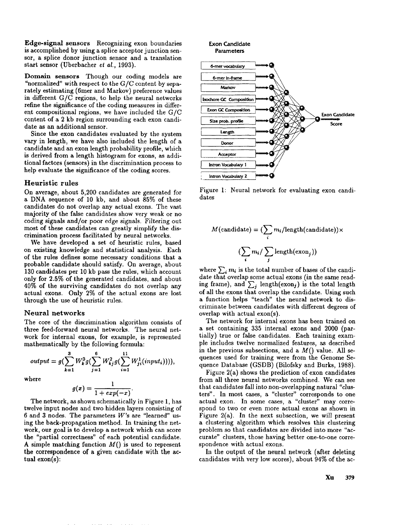Edge-signal sensors Recognizing exon boundaries is accomplished by using a splice acceptor junction sensor, a splice donor junction sensor and a translation start sensor (Uberbacher et al., 1993).

Domain sensors Though our coding models are "normalized" with respect to the  $G/C$  content by separately estimating (6mer and Markov) preference values in different *G/C* regions, to help the neural networks refine the significance of the coding measures in different compositional regions, we have included the *G/C* content of a 2 kb region surrounding each exon candidate as an additional sensor.

Since the exon candidates evaluated by the system vary in length, we have also included the length of a candidate and an exon length probability profile, which is derived from a length histogram for exons, as additional factors (sensors) in the discrimination process help evaluate the significance of the coding scores.

#### **Heuristic rules**

On average, about 5,200 candidates are generated for a DNA sequence of 10 kb, and about 85% of these candidates do not overlap any actual exons. The vast majority of the false candidates show very weak or no coding signals and/or poor edge signals. Filtering out most of these candidates can greatly simplify the discrimination process facilitated by neural networks.

We have developed a set of heuristic rules, based on existing knowledge and statistical analysis. Each of the rules defines some necessary conditions that a probable candidate should satisfy. On average, about 130 candidates per 10 kb pass the rules, which account only for 2.5% of the generated candidates, and about 40% of the surviving candidates do not overlap any actual exons. Only 2% of the actual exons are lost through the use of heuristic rules.

#### Neural networks

The core of the discrimination algorithm consists of three feed-forward neural networks. The neural network for internal exons, for example, is represented mathematically by the following formula:

$$
output = g(\sum_{k=1}^{3} W_k^3 g(\sum_{j=1}^{6} W_{kj}^2 g(\sum_{i=1}^{11} W_{ji}(input_i)))),
$$

where

$$
g(x)=\frac{1}{1+exp(-x)}
$$

The network, as shown schematically in Figure 1, has twelve input nodes and two hidden layers consisting of 6 and 3 nodes. The parameters  $W$ 's are "learned" using the hack-propagation method. In training the network, our goal is to develop a network which can score the "partial correctness" of each potential candidate. A simple matching function  $M()$  is used to represent **the** correspondence of a given candidate with the actual exon(s):



Figure 1: Neural network for evaluating exon candidates

$$
M(\text{candidate}) = (\sum_{i} m_{i}/\text{length}(\text{candidate})) \times
$$

$$
(\sum_{i} m_{i}/\sum_{j} \text{length}(\text{exon}_{j}))
$$

where  $\sum_i m_i$  is the total number of bases of the candidate that overlap some actual exons (in the same reading frame), and  $\sum_i$  length(exon,) is the total length of all the exons that overlap the candidate. Using such a function helps "teach" the neural network to discriminate between candidates with different degrees of overlap with actual exon(s).

The network for internal exons has been trained on a set containing 335 internal exons and 2000 (partially) true or false candidates. Each training example includes twelve normalized features, as described in the previous subsections, and a  $M()$  value. All sequences used for training were from the Genome Sequence Database (GSDB) (Bilofsky and Burks, 1988).

Figure 2(a) shows the prediction of exon candidates from all three neural networks combined. We can see that candidates fall into *non-overlapping* natural "clusters". In most cases, a "cluster" corresponds to one actual exon. In some cases, a "cluster" may correspond to two or even more actual exons as shown in Figure  $2(a)$ . In the next subsection, we will present a clustering algorithm which resolves this clustering problem so that candidates are divided into more "accurate" clusters, those having better one-to-one correspondence with actual exons.

In the output of the neural network (after deleting candidates with very low scores), about 94% of the ac-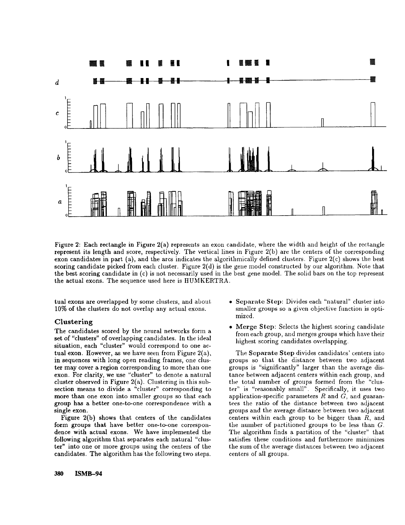

Figure 2: Each rectangle in Figure 2(a) represents an exon candidate, where the width and height of the rectangle represent its length and score, respectively. The vertical lines in Figure 2(b) are the centers of the corresponding exon candidates in part (a), and the arcs indicates the algorithmically defined clusters. Figure  $2(c)$  shows the best scoring candidate picked from each cluster. Figure 2(d) is the gene model constructed by our algorithm. Note that the best scoring candidate in  $(c)$  is not necessarily used in the best gene model. The solid bars on the top represent the actual exons. The sequence used here is ItUMKERTRA.

tual exons are overlapped by some clusters, and about 10% of the clusters do not overlap any actual exons.

### **Clustering**

The candidates scored by the neural networks form a set of "clusters" of overlapping candidates. In the ideal situation, each "cluster" would correspond to one actual exon. However, as we have seen from Figure  $2(a)$ , in sequences with long open reading frames, one cluster may cover a region corresponding to more than one exon. For clarity, we use "cluster" to denote a natural cluster observed in Figure 2(a). Clustering in this subsection means to divide a "cluster" corresponding to more than one exon into smaller groups so that each group has a better one-to-one correspondence with a single exon.

Figure 2(b) shows that centers of the candidates form groups that have better one-to-one correspondence with actual exons. We have implemented the following algorithm that separates each natural "cluster" into one or more groups using the centers of the candidates. The algorithm has the following two steps.

- Separate Step: Divides each "natural" cluster into smaller groups so a given objective function is optimized.
- Merge Step: Selects the highest scoring candidate from each group, and merges groups which have their highest scoring candidates overlapping.

The Separate Step divides candidates' centers into groups so that the distance between two adjacent groups is "significantly" larger than the average distance between adjacent centers within each group, and the total number of groups formed from the "cluster" is "reasonably small". Specifically, it uses two application-specific parameters  $R$  and  $G$ , and guarantees the ratio of the distance between two adjacent groups and the average distance between two adjacent centers within each group to be bigger than  $R$ , and the number of partitioned groups to be less than  $G$ . The algorithm finds a partition of the "cluster" that satisfies these conditions and furthermore minimizes the sum of the average distances between two adjacent centers of all groups.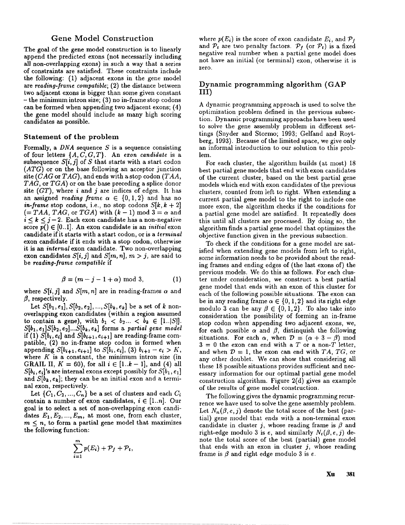### Gene Model Construction

The goal of the gene model construction is to linearly append the predicted exons (not necessarily including all *non-overlapping* exons) in such a way that a series of constraints are satisfied. These constraints include the following: (1) adjacent exons in the gene model are *reading-frame compatible;* (2) the distance between two adjacent exons is bigger than some given constant **-** the minimum intron size; (3) no in-frame stop codons can be formed when appending two adjacent exons; (4) the gene model should include as many high scoring candidates as possible.

#### Statement of the problem

Formally, a  $DNA$  sequence  $S$  is a sequence consisting of four letters *{A,C,G,T}.* An *exon candidate* is a subsequence  $S[i, j]$  of S that starts with a start codon *(ATG)* or on the base following an acceptor junction site *(CAG* **or** *TAG),* and ends with a stop codon *(TAA, TAG,* or *TGA)* or on the base preceding a splice donor site *(GT),* where i and j are indices of edges. It has an assigned *reading frame*  $\alpha \in \{0, 1, 2\}$  and has no *in-frame* stop codons, i.e., no stop codons  $S[k, k + 2]$  $(= TAA, TAG, or TGA)$  with  $(k-1) \text{ mod } 3 = \alpha$  and  $i \leq k \leq j-2$ . Each exon candidate has a non-negative score  $\overline{p}$ ()  $\in$  [0..1]. An exon candidate is an *initial* exon candidate if it starts with a start codon, or is a *terminal* exon candidate if it ends with a stop codon, otherwise **it** is an *internal* exon candidate. Two non-overlapping exon candidates  $S[i, j]$  and  $S[m, n]$ ,  $m > j$ , are said to be *reading-frame compatible* if

$$
\beta = (m-j-1+\alpha) \bmod 3, \tag{1}
$$

where  $S[i, j]$  and  $S[m, n]$  are in reading-frames  $\alpha$  and  $\beta$ , respectively.

Let  $S[b_1, e_1], S[b_2, e_2], ..., S[b_k, e_k]$  be a set of k nonoverlapping exon candidates (within a region assumed to contain a gene), with  $b_1 < b_2... < b_k \in [1..|S|]$ . *S[bl, el]S[b2, e2]...S[bk, ek]* forms a *partial gene model* if (1)  $S[b_i, e_i]$  and  $S[b_{i+1}, e_{i+1}]$  are reading-frame compatible, (2) no in-frame stop codon is formed when appending  $S[b_{i+1}, e_{i+1}]$  to  $S[b_i, e_i]$ , (3)  $b_{i+1} - e_i > K$ , where  $K$  is a constant, the minimum intron size (in GRAIL II,  $K = 60$ , for all  $i \in [1..k-1]$ , and (4) all  $S[b_i, e_i]$ 's are internal exons except possibly for  $S[b_1, e_1]$ and  $S[b_k, e_k]$ ; they can be an initial exon and a terminal exon, respectively.

Let  $\{C_1, C_2, ..., C_n\}$  be a set of clusters and each  $C_i$ contain a number of exon candidates,  $i \in [1..n]$ . Our goal is to select a set of non-overlapping exon candidates  $E_1, E_2, ..., E_m$ , at most one, from each cluster,  $m \leq n$ , to form a partial gene model that maximizes the following function:

$$
\sum_{i=1}^m p(E_i) + \mathcal{P}_f + \mathcal{P}_t,
$$

where  $p(E_i)$  is the score of exon candidate  $E_i$ , and  $P_f$ and  $P_t$  are two penalty factors.  $P_f$  (or  $P_t$ ) is a fixed negative real number when a partial gene model does not have an initial (or terminal) exon, otherwise it zero.

### Dynamic programming algorithm (GAP III)

A dynamic programming approach is used to solve the optimization problem defined in the previous subsection. Dynamic programming approachs have been used to solve the gene assembly problem in different settings (Snyder and Stormo; 1993; Gelfand and Roytberg, 1993). Because of the limited space, we give only an informal introduction to our solution to this problem.

For each cluster, the algorithm builds (at most) 18 best partial gene models that end with exon candidates of the current cluster, based on the best partial gene models which end with exon candidates of the previous clusters, counted from left to right. When extending a current partial gene model to the right to include one more exon, the algorithm checks if the conditions for a partial gene model are satisfied. It repeatedly does this until all clusters are processed. By doing so, the algorithm finds a partial gene model that optimizes the objective function given in the previous subsection.

To check if the conditions for a gene model are satisfied when extending gene models from left to right, some information needs to be provided about the reading frames and ending edges of (the last exons of) the previous models. We do this as follows. For each cluster nnder consideration, we construct a best partial gene model that ends with an exon of this cluster for each of the following possible situations. The exon can be in any reading frame  $\alpha \in \{0, 1, 2\}$  and its right edge modulo 3 can be any  $\beta \in \{0, 1, 2\}$ . To also take into consideration the possibility of forming an in-frame stop codon when appending two adjacent exons, we, for each possible  $\alpha$  and  $\beta$ , distinguish the following situations. For each  $\alpha$ , when  $\mathcal{D} = (\alpha + 3 - \beta)$  mod  $3 = 0$  the exon can end with a T or a non-T letter, and when  $D = 1$ , the exon can end with *TA*, *TG*, or any other doublet. We can show that considering all these 18 possible situations provides sufficient and necessary information for our optimal partial gene model construction algorithm. Figure 2(d) gives an example of the results of gene model construction.

The following gives the dynamic programming recurrence we have used to solve the gene assembly problem. Let  $N_n(\beta, e, j)$  denote the total score of the best (partial) gene model that ends with a non-terminal exon candidate in cluster j, whose reading frame is  $\beta$  and right-edge modulo 3 is e, and similarly  $N_t(\beta, \epsilon, j)$  denote the total score of the best (partial) gene model that ends with an exon in cluster  $j$ , whose reading frame is  $\beta$  and right edge modulo 3 is e.

**Xu 381**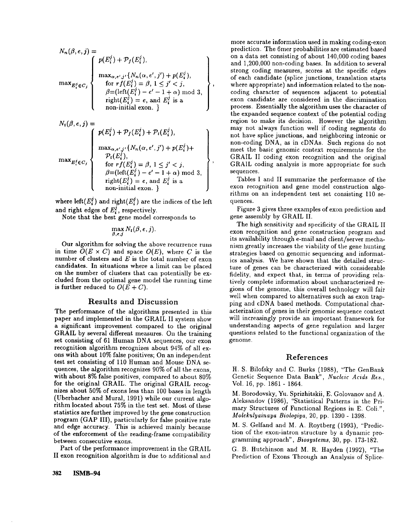$$
N_n(\beta, e, j) = \n\begin{cases} \np(E_i^j) + \mathcal{P}_f(E_i^j), & \text{if } i \in \mathbb{Z}^d, \text{if } i \in \mathbb{Z}^d, \\
\max_{\alpha, e', j' \in \mathbb{Z}^d} \{ N_n(\alpha, e', j') + p(E_i^j), & \text{if } i \in \mathbb{Z}^d, \text{if } j \in \mathbb{Z}^d, \\
\text{if } \beta = (\text{left}(E_i^j) - e' - 1 + \alpha) \mod 3, \\
\text{right}(E_i^j) = e, & \text{and } E_i^j \text{ is a non-intial exon.} \n\end{cases}
$$

$$
N_t(\beta, e, j) =
$$
\n
$$
\max_{E_i^j \in C_j} \left\{\n\begin{array}{l}\np(E_i^j) + \mathcal{P}_f(E_i^j) + \mathcal{P}_t(E_i^j), \\
\max_{\alpha, e', j'} \{N_n(\alpha, e', j') + p(E_i^j) + \mathcal{P}_t(E_i^j)\}, \\
\text{for } r f(E_i^j), \\
\text{for } r f(E_i^j) = \beta, 1 \leq j' < j, \\
\beta = (\text{left}(E_i^j) - e' - 1 + \alpha) \mod 3, \\
\text{right}(E_i^j) = e, \text{ and } E_i^j \text{ is a non-inital exon.}\n\end{array}\n\right\}
$$

where  $\text{left}(E_i^j)$  and right $(E_i^j)$  are the indices of the left and right edges of  $E_i^j$ , respectively.

Note that the best gene model corresponds to

$$
\max_{\beta,e,j} N_t(\beta,e,j).
$$

Our algorithm for solving the above recurrence runs in time  $O(E \times C)$  and space  $O(E)$ , where C is the number of clusters and  $E$  is the total number of exon candidates. In situations where a limit can be placed on the number of clusters that can potentially be excluded from the optimal gene model the running time is further reduced to  $O(E+C)$ .

## **Results and Discussion**

The performance of the algorithms presented in this paper and implemented in the GRAIL II system show a significant improvement compared to the original GRAIL by several different measures. On the training set consisting of 61 Human DNA sequences, our exon recognition algorithm recognizes about 94% of all exons with about 10% false positives; On an independent test set consisting of 110 Human and Mouse DNA sequences, the algorithm recognizes 90% of all the exons, with about 8% false positives, compared to about 80% for the original GRAIL. The original GRAIL recognizes about 50% of exons less than 100 bases in length (Uberbacher and Mural, 1991) while our current algorithm located about 75% in the test set. Most of these statistics are further improved by the gene construction program (GAP III), particularly for false positive rate and edge accuracy. This is achieved mainly because of the enforcement of the reading-frame compatibility between consecutive exons.

Part of the performance improvement in the GRAIL II exon recognition algorithm is due to additional and

more accurate information used in making coding-exon prediction. The 6mer probabilities are estimated based on a data set consisting of about 140,000 coding bases and 1,200,000 non-coding bases. In addition to several strong coding measures, scores at the specific edges of each candidate (splice junctions, translation starts where appropriate) and information related to the noncoding character of sequences adjacent to potential exon candidate are considered in the discrimination process. Essentially the algorithm uses the character of the expanded sequence context of the potential coding region to make its decision. However the algorithm may not always function well if coding segments do not have splice junctions, and neighboring intronic or non-coding DNA, as in cDNAs. Such regions do not meet the basic genomic context requirements for the GRAIL II coding exon recognition and the original GRAIL coding analysis is more appropriate for such sequences.

Tables I and II summarize the performance of the exon recognition and gene model construction algorithms on an independent test set consisting 110 sequences.

Figure 3 gives three examples of exon prediction and gene assembly by GRAIL II.

The high sensitivity and specificity of the GRAIL II exon recognition and gene construction program and its availability through e-mail and client/server mechanism greatly increases the viability of the gene hunting strategies based on genomic sequencing and informatics analysis. We have shown that the detailed structure of genes can be characterized with considerable fidelity, and expect that, in terms of providing relatively complete information about uncharacterized regions of the genome, this overall technology will fair well when compared to alternatives such as exon trapping and eDNA based methods. Computational characterization of genes in their genomic sequence context will increasingly provide an important framework for understanding aspects of gene regulation and larger questions related to the functional organization of the genome.

### References

H. S. Bilofsky and C. Burks (1988), "The GenBank Genetic Sequence Data Bank", *Nucleic Acids Res.,* Vol. 16, pp. 1861 - 1864.

M. Borodovsky, Yn. Sprizhitskii, E. Golovanov and A. Aleksandov (1986), "Statistical Patterns in the Primary Structures of Functional Regions in E. Coli.", *Molekulyainaya Biologiya,* 20, pp. 1390 - 1398.

M. S. Gelfand and M. A. Roytberg (1993), "Prediction of the exon-intron structure by a dynamic programming approach", *Biosyslems,* 30, pp. 173-182.

G. B. Hutchinson and M. R. Hayden (1992), "The Prediction of Exons Through an Analysis of Splice-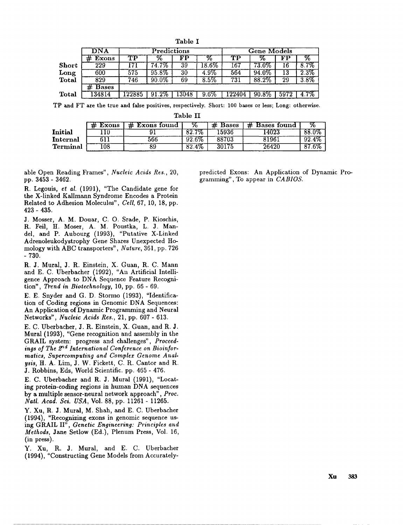| Table I |              |             |          |       |                     |                    |          |      |                    |  |  |  |  |
|---------|--------------|-------------|----------|-------|---------------------|--------------------|----------|------|--------------------|--|--|--|--|
|         | <b>DNA</b>   | Predictions |          |       |                     | <b>Gene Models</b> |          |      |                    |  |  |  |  |
|         | <b>Exons</b> | TP          | %        | FР    | $\%$                | TР                 | ℅        | FP   | Z.                 |  |  |  |  |
| Short   | 229          | .71         | 74.7%    | 39    | $\overline{18.6\%}$ | $\overline{167}$   | $73.0\%$ | 16.  | $8.7\%$            |  |  |  |  |
| Long    | 600          | 575         | 95.8%    | 30    | 4.9%                | 564                | 94.0%    | 13   | $\overline{2.3\%}$ |  |  |  |  |
| Total   | 829          | 746         | 90.0%    | 69    | $8.5\%$             | 731                | 88.2%    | 29   | $3.8\%$            |  |  |  |  |
|         | <b>Bases</b> |             |          |       |                     |                    |          |      |                    |  |  |  |  |
| Total   | 134814       | 122885      | $91.2\%$ | 13048 | 9.6%                | 122404             | 90.8%    | 5972 | $4.7\%$            |  |  |  |  |

TP and FT are the true and false positives, respectively. Short: 100 bases or less; Long: otherwise.

Table II

|          | <b>Exons</b> | <b>Exons found</b><br>± |            | 丑<br><b>Bases</b> | <b>Bases found</b><br>Ħ. | ν7. |
|----------|--------------|-------------------------|------------|-------------------|--------------------------|-----|
| Initial  |              |                         | 7%<br>-82. | 15936             | 14023                    |     |
| Internal |              | 566                     | $92.6\%$   | 88703             | 81961                    | -09 |
| Terminal | 108          |                         | $82.4\%$   | 30175             | 26420                    |     |

able Open Reading Frames", *Nucleic Acids Res.,* 20, pp. 3453 - 3462.

R. Legouis, *et al.* (1991), "The Candidate gene for the X-linked Kallmann Syndrome Encodes a Protein Related to Adhesion Molecules", *Cell,* 67, 10, 18, pp. 423- 435.

J. Mosser, A. M. Douar, C. O. Srade, P. Kioschis, R. Feil, H. Moser, A. M. Poustka, L. J. Mandel, and P. Aubourg (1993), "Putative X-Linked Adrenoleukodystrophy Gene Shares Unexpected Homology with ABC transporters", *Nature,* 361, pp. 726 - 730.

R. J. Mural, J. R. Einstein, X. Guan, R. C. Mann and E. C. Uberbacher (1992), "An Artificial Intelligence Approach to DNA Sequence Feature Recognition", *Trend in Biotechnology,* 10, pp. 66 - 69.

E. E. Snyder and G. D. Stormo (1993), "Identification of Coding regions in Genomic DNA Sequences: An Application of Dynamic Programming and Neural Networks", *Nucleic Acids Res.,* 21, pp. 607- 613.

E. C. Uberbacher, J. R. Einstein, X. Guan, and R. J. Mural (1993), "Gene recognition and assembly in the GRAIL system: progress and challenges", *Proceed*ings of The 2<sup>nd</sup> International Conference on Bioinfor*matics, Supercomputing and Complex Genome Anal ysis,* H. A. Lim, J. W. Fickett, C. R. Cantor and R. J. Robbins, Eds, World Scientific. pp. 465 - 476.

E. C. Uberbacher and R. J. Mural (1991), "Locating protein-coding regions in human DNA sequences by a multiple sensor-neural network approach", *Proc. Natl. Acad. Sci. USA,* Vol. 88, pp. 11261 - 11265.

Y. Xu, R. J. Mural, M. Shah, and E. C. Uberbacher (1994), "Recognizing exons in genomic sequence using GRAIL II", *Genetic Engineering: Principles and Methods,* Jane Setlow (Ed.), Plenum Press, Vol. 16, (in press).

Y. Xu, R. J. Mural, and E. C. Uberbacher (1994), "Constructing Gene Models from Accuratelypredicted Exons: An Application of Dynamic Programming", To appear in *CABIOS.*